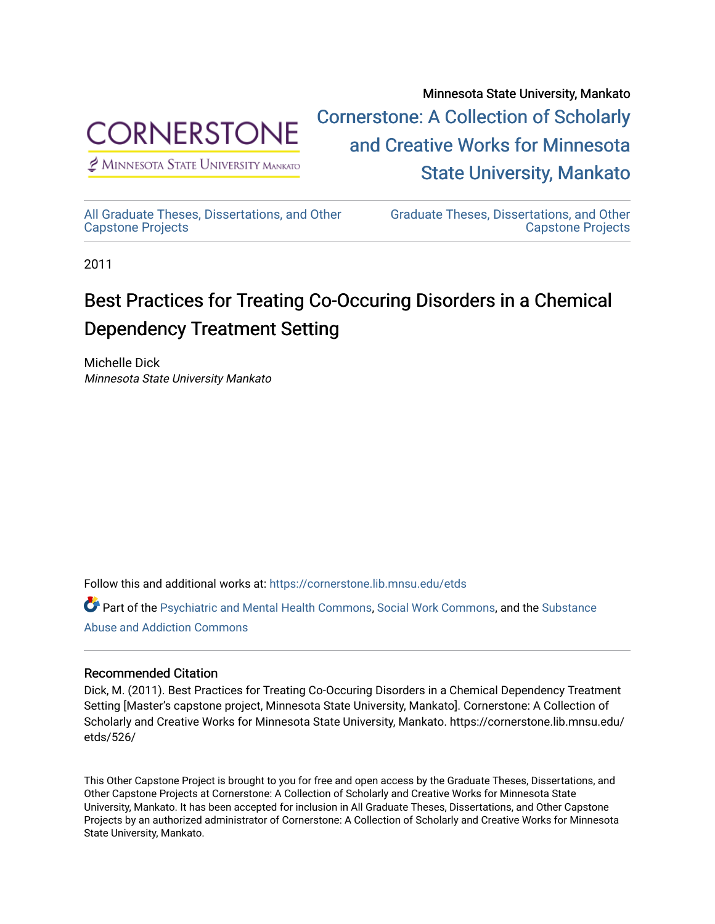

 $<sup>2</sup>$  Minnesota State University Mankato</sup>

Minnesota State University, Mankato [Cornerstone: A Collection of Scholarly](https://cornerstone.lib.mnsu.edu/)  [and Creative Works for Minnesota](https://cornerstone.lib.mnsu.edu/)  [State University, Mankato](https://cornerstone.lib.mnsu.edu/) 

[All Graduate Theses, Dissertations, and Other](https://cornerstone.lib.mnsu.edu/etds)  [Capstone Projects](https://cornerstone.lib.mnsu.edu/etds) 

[Graduate Theses, Dissertations, and Other](https://cornerstone.lib.mnsu.edu/theses_dissertations-capstone)  [Capstone Projects](https://cornerstone.lib.mnsu.edu/theses_dissertations-capstone) 

2011

#### Best Practices for Treating Co-Occuring Disorders in a Chemical Dependency Treatment Setting

Michelle Dick Minnesota State University Mankato

Follow this and additional works at: [https://cornerstone.lib.mnsu.edu/etds](https://cornerstone.lib.mnsu.edu/etds?utm_source=cornerstone.lib.mnsu.edu%2Fetds%2F526&utm_medium=PDF&utm_campaign=PDFCoverPages) 

Part of the [Psychiatric and Mental Health Commons,](http://network.bepress.com/hgg/discipline/711?utm_source=cornerstone.lib.mnsu.edu%2Fetds%2F526&utm_medium=PDF&utm_campaign=PDFCoverPages) [Social Work Commons](http://network.bepress.com/hgg/discipline/713?utm_source=cornerstone.lib.mnsu.edu%2Fetds%2F526&utm_medium=PDF&utm_campaign=PDFCoverPages), and the [Substance](http://network.bepress.com/hgg/discipline/710?utm_source=cornerstone.lib.mnsu.edu%2Fetds%2F526&utm_medium=PDF&utm_campaign=PDFCoverPages) [Abuse and Addiction Commons](http://network.bepress.com/hgg/discipline/710?utm_source=cornerstone.lib.mnsu.edu%2Fetds%2F526&utm_medium=PDF&utm_campaign=PDFCoverPages) 

#### Recommended Citation

Dick, M. (2011). Best Practices for Treating Co-Occuring Disorders in a Chemical Dependency Treatment Setting [Master's capstone project, Minnesota State University, Mankato]. Cornerstone: A Collection of Scholarly and Creative Works for Minnesota State University, Mankato. https://cornerstone.lib.mnsu.edu/ etds/526/

This Other Capstone Project is brought to you for free and open access by the Graduate Theses, Dissertations, and Other Capstone Projects at Cornerstone: A Collection of Scholarly and Creative Works for Minnesota State University, Mankato. It has been accepted for inclusion in All Graduate Theses, Dissertations, and Other Capstone Projects by an authorized administrator of Cornerstone: A Collection of Scholarly and Creative Works for Minnesota State University, Mankato.